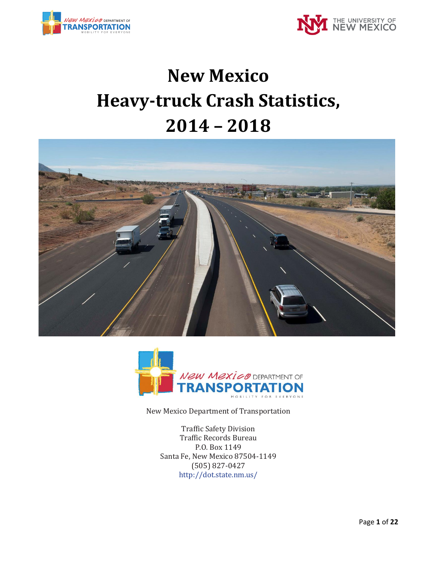



# **New Mexico Heavy-truck Crash Statistics, 2014 – 2018**





New Mexico Department of Transportation

Traffic Safety Division Traffic Records Bureau P.O. Box 1149 Santa Fe, New Mexico 87504-1149 (505) 827-0427 <http://dot.state.nm.us/>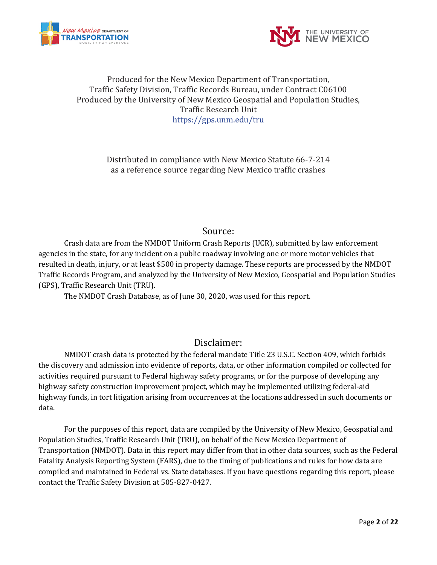



#### Produced for the New Mexico Department of Transportation, Traffic Safety Division, Traffic Records Bureau, under Contract C06100 Produced by the University of New Mexico Geospatial and Population Studies, Traffic Research Unit https://gps.unm.edu/tru

Distributed in compliance with New Mexico Statute 66-7-214 as a reference source regarding New Mexico traffic crashes

#### Source:

Crash data are from the NMDOT Uniform Crash Reports (UCR), submitted by law enforcement agencies in the state, for any incident on a public roadway involving one or more motor vehicles that resulted in death, injury, or at least \$500 in property damage. These reports are processed by the NMDOT Traffic Records Program, and analyzed by the University of New Mexico, Geospatial and Population Studies (GPS), Traffic Research Unit (TRU).

The NMDOT Crash Database, as of June 30, 2020, was used for this report.

## Disclaimer:

NMDOT crash data is protected by the federal mandate Title 23 U.S.C. Section 409, which forbids the discovery and admission into evidence of reports, data, or other information compiled or collected for activities required pursuant to Federal highway safety programs, or for the purpose of developing any highway safety construction improvement project, which may be implemented utilizing federal-aid highway funds, in tort litigation arising from occurrences at the locations addressed in such documents or data.

For the purposes of this report, data are compiled by the University of New Mexico, Geospatial and Population Studies, Traffic Research Unit (TRU), on behalf of the New Mexico Department of Transportation (NMDOT). Data in this report may differ from that in other data sources, such as the Federal Fatality Analysis Reporting System (FARS), due to the timing of publications and rules for how data are compiled and maintained in Federal vs. State databases. If you have questions regarding this report, please contact the Traffic Safety Division at 505-827-0427.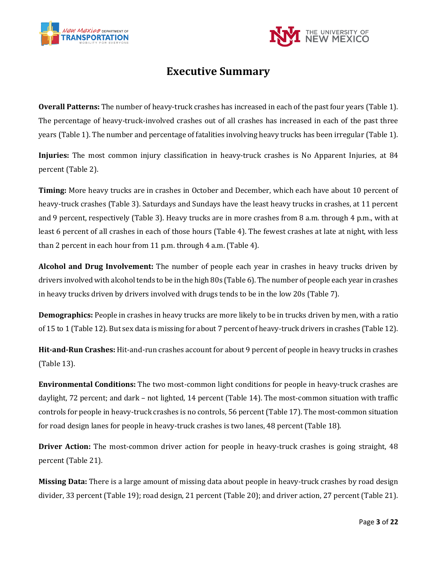



## **Executive Summary**

**Overall Patterns:** The number of heavy-truck crashes has increased in each of the past four years (Table 1). The percentage of heavy-truck-involved crashes out of all crashes has increased in each of the past three years (Table 1). The number and percentage of fatalities involving heavy trucks has been irregular (Table 1).

**Injuries:** The most common injury classification in heavy-truck crashes is No Apparent Injuries, at 84 percent (Table 2).

**Timing:** More heavy trucks are in crashes in October and December, which each have about 10 percent of heavy-truck crashes (Table 3). Saturdays and Sundays have the least heavy trucks in crashes, at 11 percent and 9 percent, respectively (Table 3). Heavy trucks are in more crashes from 8 a.m. through 4 p.m., with at least 6 percent of all crashes in each of those hours (Table 4). The fewest crashes at late at night, with less than 2 percent in each hour from 11 p.m. through 4 a.m. (Table 4).

**Alcohol and Drug Involvement:** The number of people each year in crashes in heavy trucks driven by drivers involved with alcohol tends to be in the high 80s (Table 6). The number of people each year in crashes in heavy trucks driven by drivers involved with drugs tends to be in the low 20s (Table 7).

**Demographics:** People in crashes in heavy trucks are more likely to be in trucks driven by men, with a ratio of 15 to 1 (Table 12). But sex data is missing for about 7 percent of heavy-truck drivers in crashes (Table 12).

**Hit-and-Run Crashes:** Hit-and-run crashes account for about 9 percent of people in heavy trucks in crashes (Table 13).

**Environmental Conditions:** The two most-common light conditions for people in heavy-truck crashes are daylight, 72 percent; and dark – not lighted, 14 percent (Table 14). The most-common situation with traffic controls for people in heavy-truck crashes is no controls, 56 percent (Table 17). The most-common situation for road design lanes for people in heavy-truck crashes is two lanes, 48 percent (Table 18).

**Driver Action:** The most-common driver action for people in heavy-truck crashes is going straight, 48 percent (Table 21).

**Missing Data:** There is a large amount of missing data about people in heavy-truck crashes by road design divider, 33 percent (Table 19); road design, 21 percent (Table 20); and driver action, 27 percent (Table 21).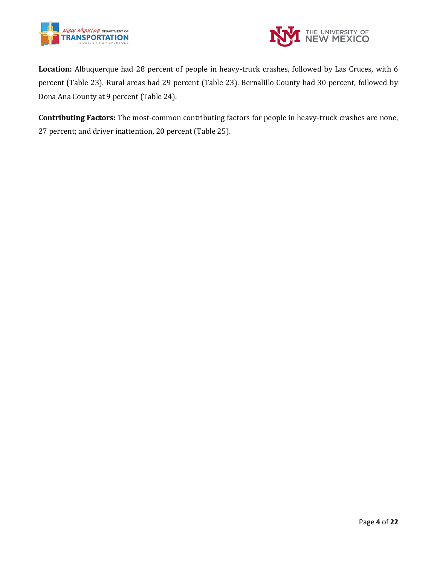



**Location:** Albuquerque had 28 percent of people in heavy-truck crashes, followed by Las Cruces, with 6 percent (Table 23). Rural areas had 29 percent (Table 23). Bernalillo County had 30 percent, followed by Dona Ana County at 9 percent (Table 24).

**Contributing Factors:** The most-common contributing factors for people in heavy-truck crashes are none, 27 percent; and driver inattention, 20 percent (Table 25).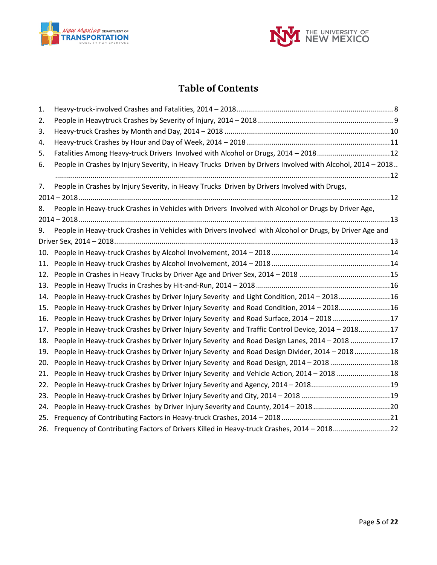



# **Table of Contents**

| 1.  |                                                                                                            |  |
|-----|------------------------------------------------------------------------------------------------------------|--|
| 2.  |                                                                                                            |  |
| 3.  |                                                                                                            |  |
| 4.  |                                                                                                            |  |
| 5.  | Fatalities Among Heavy-truck Drivers Involved with Alcohol or Drugs, 2014 - 201812                         |  |
| 6.  | People in Crashes by Injury Severity, in Heavy Trucks Driven by Drivers Involved with Alcohol, 2014 - 2018 |  |
|     |                                                                                                            |  |
| 7.  | People in Crashes by Injury Severity, in Heavy Trucks Driven by Drivers Involved with Drugs,               |  |
|     |                                                                                                            |  |
| 8.  | People in Heavy-truck Crashes in Vehicles with Drivers Involved with Alcohol or Drugs by Driver Age,       |  |
|     |                                                                                                            |  |
| 9.  | People in Heavy-truck Crashes in Vehicles with Drivers Involved with Alcohol or Drugs, by Driver Age and   |  |
|     |                                                                                                            |  |
| 10. |                                                                                                            |  |
| 11. |                                                                                                            |  |
| 12. |                                                                                                            |  |
| 13. |                                                                                                            |  |
| 14. | People in Heavy-truck Crashes by Driver Injury Severity and Light Condition, 2014 - 201816                 |  |
| 15. | People in Heavy-truck Crashes by Driver Injury Severity and Road Condition, 2014 - 201816                  |  |
| 16. | People in Heavy-truck Crashes by Driver Injury Severity and Road Surface, 2014 - 2018 17                   |  |
| 17. | People in Heavy-truck Crashes by Driver Injury Severity and Traffic Control Device, 2014 - 201817          |  |
| 18. | People in Heavy-truck Crashes by Driver Injury Severity and Road Design Lanes, 2014 - 2018 17              |  |
| 19. | People in Heavy-truck Crashes by Driver Injury Severity and Road Design Divider, 2014 - 201818             |  |
| 20. | People in Heavy-truck Crashes by Driver Injury Severity and Road Design, 2014 - 2018 18                    |  |
| 21. | People in Heavy-truck Crashes by Driver Injury Severity and Vehicle Action, 2014 - 2018 18                 |  |
| 22. | People in Heavy-truck Crashes by Driver Injury Severity and Agency, 2014 - 201819                          |  |
| 23. |                                                                                                            |  |
| 24. |                                                                                                            |  |
| 25. |                                                                                                            |  |
|     | 26. Frequency of Contributing Factors of Drivers Killed in Heavy-truck Crashes, 2014 - 201822              |  |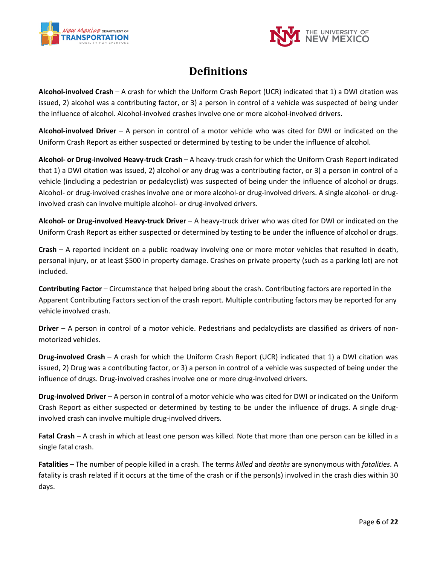



# **Definitions**

**Alcohol-involved Crash** – A crash for which the Uniform Crash Report (UCR) indicated that 1) a DWI citation was issued, 2) alcohol was a contributing factor, or 3) a person in control of a vehicle was suspected of being under the influence of alcohol. Alcohol-involved crashes involve one or more alcohol-involved drivers.

**Alcohol-involved Driver** – A person in control of a motor vehicle who was cited for DWI or indicated on the Uniform Crash Report as either suspected or determined by testing to be under the influence of alcohol.

**Alcohol- or Drug-involved Heavy-truck Crash** – A heavy-truck crash for which the Uniform Crash Report indicated that 1) a DWI citation was issued, 2) alcohol or any drug was a contributing factor, or 3) a person in control of a vehicle (including a pedestrian or pedalcyclist) was suspected of being under the influence of alcohol or drugs. Alcohol- or drug-involved crashes involve one or more alcohol-or drug-involved drivers. A single alcohol- or druginvolved crash can involve multiple alcohol- or drug-involved drivers.

**Alcohol- or Drug-involved Heavy-truck Driver** – A heavy-truck driver who was cited for DWI or indicated on the Uniform Crash Report as either suspected or determined by testing to be under the influence of alcohol or drugs.

**Crash** – A reported incident on a public roadway involving one or more motor vehicles that resulted in death, personal injury, or at least \$500 in property damage. Crashes on private property (such as a parking lot) are not included.

**Contributing Factor** – Circumstance that helped bring about the crash. Contributing factors are reported in the Apparent Contributing Factors section of the crash report. Multiple contributing factors may be reported for any vehicle involved crash.

**Driver** – A person in control of a motor vehicle. Pedestrians and pedalcyclists are classified as drivers of nonmotorized vehicles.

**Drug-involved Crash** – A crash for which the Uniform Crash Report (UCR) indicated that 1) a DWI citation was issued, 2) Drug was a contributing factor, or 3) a person in control of a vehicle was suspected of being under the influence of drugs. Drug-involved crashes involve one or more drug-involved drivers.

**Drug-involved Driver** – A person in control of a motor vehicle who was cited for DWI or indicated on the Uniform Crash Report as either suspected or determined by testing to be under the influence of drugs. A single druginvolved crash can involve multiple drug-involved drivers.

**Fatal Crash** – A crash in which at least one person was killed. Note that more than one person can be killed in a single fatal crash.

**Fatalities** – The number of people killed in a crash. The terms *killed* and *deaths* are synonymous with *fatalities*. A fatality is crash related if it occurs at the time of the crash or if the person(s) involved in the crash dies within 30 days.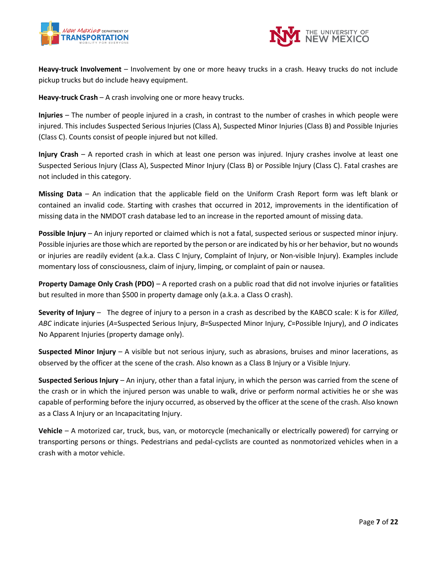



**Heavy-truck Involvement** – Involvement by one or more heavy trucks in a crash. Heavy trucks do not include pickup trucks but do include heavy equipment.

**Heavy-truck Crash** – A crash involving one or more heavy trucks.

**Injuries** – The number of people injured in a crash, in contrast to the number of crashes in which people were injured. This includes Suspected Serious Injuries (Class A), Suspected Minor Injuries (Class B) and Possible Injuries (Class C). Counts consist of people injured but not killed.

**Injury Crash** – A reported crash in which at least one person was injured. Injury crashes involve at least one Suspected Serious Injury (Class A), Suspected Minor Injury (Class B) or Possible Injury (Class C). Fatal crashes are not included in this category.

**Missing Data** – An indication that the applicable field on the Uniform Crash Report form was left blank or contained an invalid code. Starting with crashes that occurred in 2012, improvements in the identification of missing data in the NMDOT crash database led to an increase in the reported amount of missing data.

**Possible Injury** – An injury reported or claimed which is not a fatal, suspected serious or suspected minor injury. Possible injuries are those which are reported by the person or are indicated by his or her behavior, but no wounds or injuries are readily evident (a.k.a. Class C Injury, Complaint of Injury, or Non-visible Injury). Examples include momentary loss of consciousness, claim of injury, limping, or complaint of pain or nausea.

**Property Damage Only Crash (PDO)** – A reported crash on a public road that did not involve injuries or fatalities but resulted in more than \$500 in property damage only (a.k.a. a Class O crash).

**Severity of Injury** – The degree of injury to a person in a crash as described by the KABCO scale: K is for *Killed*, *ABC* indicate injuries (*A*=Suspected Serious Injury, *B*=Suspected Minor Injury, *C*=Possible Injury), and *O* indicates No Apparent Injuries (property damage only).

**Suspected Minor Injury** – A visible but not serious injury, such as abrasions, bruises and minor lacerations, as observed by the officer at the scene of the crash. Also known as a Class B Injury or a Visible Injury.

**Suspected Serious Injury** – An injury, other than a fatal injury, in which the person was carried from the scene of the crash or in which the injured person was unable to walk, drive or perform normal activities he or she was capable of performing before the injury occurred, as observed by the officer at the scene of the crash. Also known as a Class A Injury or an Incapacitating Injury.

**Vehicle** – A motorized car, truck, bus, van, or motorcycle (mechanically or electrically powered) for carrying or transporting persons or things. Pedestrians and pedal-cyclists are counted as nonmotorized vehicles when in a crash with a motor vehicle.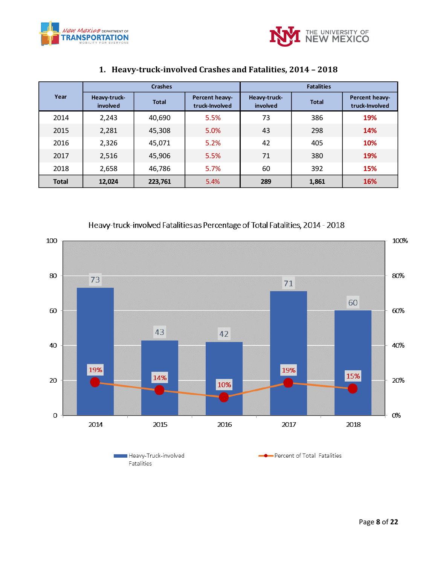



<span id="page-7-0"></span>

|                        |                                          | <b>Crashes</b> |                                  | <b>Fatalities</b>        |              |                                  |  |  |
|------------------------|------------------------------------------|----------------|----------------------------------|--------------------------|--------------|----------------------------------|--|--|
| Year                   | Heavy-truck-<br><b>Total</b><br>involved |                | Percent heavy-<br>truck-Involved | Heavy-truck-<br>involved | <b>Total</b> | Percent heavy-<br>truck-Involved |  |  |
| 2014                   | 2,243                                    | 40,690         | 5.5%                             | 73                       | 386          | 19%                              |  |  |
| 2015                   | 2,281                                    | 45,308         | 5.0%                             | 43                       | 298          | <b>14%</b>                       |  |  |
| 2016                   | 2,326                                    | 45,071         | 5.2%                             | 42                       | 405          | 10%                              |  |  |
| 2017                   | 2,516                                    | 45,906         | 5.5%                             | 71                       | 380          | 19%                              |  |  |
| 2018                   | 2,658                                    | 46,786         | 5.7%                             | 60                       | 392          | 15%                              |  |  |
| <b>Total</b><br>12,024 |                                          | 223,761        | 5.4%                             | 289                      | 1,861        | 16%                              |  |  |

#### **1. Heavy-truck-involved Crashes and Fatalities, 2014 – 2018**





Fatalities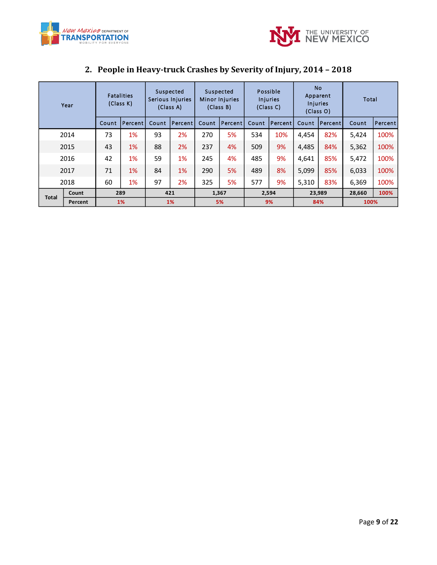



<span id="page-8-0"></span>

|              | Year    | <b>Fatalities</b><br>(Class K) |         | Suspected<br>Serious Injuries<br>(Class A) |                | Suspected<br>Minor Injuries<br>(Class B) |                | Possible<br>Injuries<br>(Class C) |                | <b>No</b><br>Apparent<br><b>Injuries</b><br>(Class O) |                | Total  |         |
|--------------|---------|--------------------------------|---------|--------------------------------------------|----------------|------------------------------------------|----------------|-----------------------------------|----------------|-------------------------------------------------------|----------------|--------|---------|
|              |         | <b>Count</b>                   | Percent | Count                                      | <b>Percent</b> | <b>Count</b>                             | <b>Percent</b> | Count                             | <b>Percent</b> | Count                                                 | <b>Percent</b> | Count  | Percent |
|              | 2014    | 73                             | 1%      | 93                                         | 2%             | 270                                      | 5%             | 534                               | 10%            | 4,454                                                 | 82%            | 5,424  | 100%    |
|              | 2015    | 43                             | 1%      | 88                                         | 2%             | 237                                      | 4%             | 509                               | 9%             | 4,485                                                 | 84%            | 5,362  | 100%    |
|              | 2016    | 42                             | 1%      | 59                                         | 1%             | 245                                      | 4%             | 485                               | 9%             | 4,641                                                 | 85%            | 5,472  | 100%    |
|              | 2017    | 71                             | 1%      | 84                                         | 1%             | 290                                      | 5%             | 489                               | 8%             | 5,099                                                 | 85%            | 6,033  | 100%    |
| 2018         |         | 60                             | 1%      | 97                                         | 2%             | 325                                      | 5%             | 577                               | 9%             | 5.310                                                 | 83%            | 6,369  | 100%    |
| <b>Total</b> | Count   |                                | 289     | 421                                        |                | 1,367                                    |                | 2,594                             |                | 23,989                                                |                | 28,660 | 100%    |
|              | Percent | <b>1%</b>                      |         | <b>1%</b>                                  |                | 5%                                       |                | 9%                                |                | 84%                                                   |                | 100%   |         |

# **2. People in Heavy-truck Crashes by Severity of Injury, 2014 – 2018**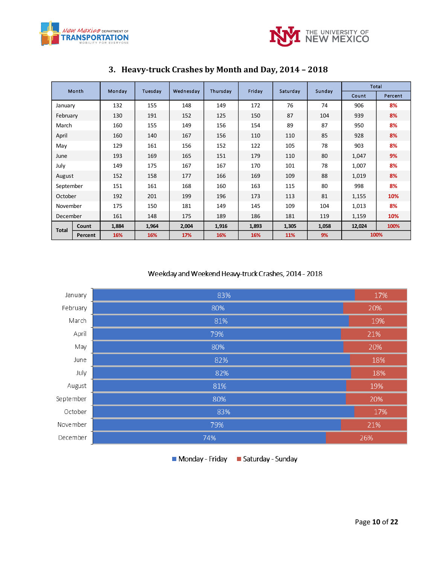



<span id="page-9-0"></span>

|              | Month   | Monday | Tuesday | Wednesday | Thursday | Friday | Saturday | Sunday |        | Total   |
|--------------|---------|--------|---------|-----------|----------|--------|----------|--------|--------|---------|
|              |         |        |         |           |          |        |          |        | Count  | Percent |
| January      |         | 132    | 155     | 148       | 149      | 172    | 76       | 74     | 906    | 8%      |
| February     |         | 130    | 191     | 152       | 125      | 150    | 87       | 104    | 939    | 8%      |
| March        |         | 160    | 155     | 149       | 156      | 154    | 89       | 87     | 950    | 8%      |
| April        |         | 160    | 140     | 167       | 156      | 110    | 110      | 85     | 928    | 8%      |
| May          |         | 129    | 161     | 156       | 152      | 122    | 105      | 78     | 903    | 8%      |
| June         |         | 193    | 169     | 165       | 151      | 179    | 110      | 80     | 1,047  | 9%      |
| July         |         | 149    | 175     | 167       | 167      | 170    | 101      | 78     | 1,007  | 8%      |
| August       |         | 152    | 158     | 177       | 166      | 169    | 109      | 88     | 1,019  | 8%      |
| September    |         | 151    | 161     | 168       | 160      | 163    | 115      | 80     | 998    | 8%      |
| October      |         | 192    | 201     | 199       | 196      | 173    | 113      | 81     | 1,155  | 10%     |
| November     |         | 175    | 150     | 181       | 149      | 145    | 109      | 104    | 1,013  | 8%      |
| December     |         | 161    | 148     | 175       | 189      | 186    | 181      | 119    | 1,159  | 10%     |
|              | Count   | 1,884  | 1,964   | 2,004     | 1,916    | 1,893  | 1,305    | 1,058  | 12,024 | 100%    |
| <b>Total</b> | Percent | 16%    | 16%     | 17%       | 16%      | 16%    | 11%      | 9%     |        | 100%    |

## **3. Heavy-truck Crashes by Month and Day, 2014 – 2018**

#### Weekday and Weekend Heavy-truck Crashes, 2014 - 2018

| January   | 83% | 17% |
|-----------|-----|-----|
| February  | 80% | 20% |
| March     | 81% | 19% |
| April     | 79% | 21% |
| May       | 80% | 20% |
| June      | 82% | 18% |
| July      | 82% | 18% |
| August    | 81% | 19% |
| September | 80% | 20% |
| October   | 83% | 17% |
| November  | 79% | 21% |
| December  | 74% | 26% |

Monday - Friday Baturday - Sunday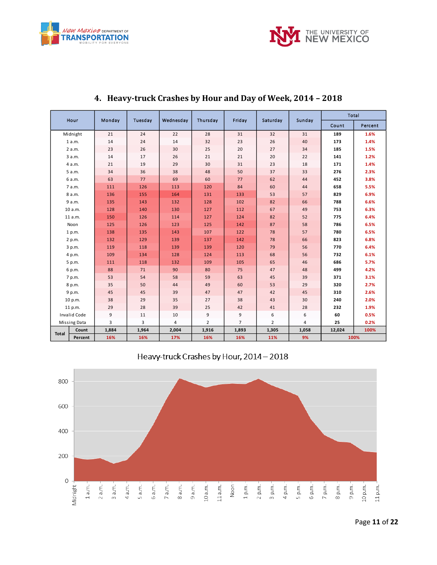



<span id="page-10-0"></span>

| Hour                  | Monday | Tuesday | Wednesdav | Thursday       | Friday         | Saturday       | Sunday | <b>Total</b> |         |
|-----------------------|--------|---------|-----------|----------------|----------------|----------------|--------|--------------|---------|
|                       |        |         |           |                |                |                |        | Count        | Percent |
| Midnight              | 21     | 24      | 22        | 28             | 31             | 32             | 31     | 189          | 1.6%    |
| 1 a.m.                | 14     | 24      | 14        | 32             | 23             | 26             | 40     | 173          | 1.4%    |
| 2 a.m.                | 23     | 26      | 30        | 25             | 20             | 27             | 34     | 185          | 1.5%    |
| 3 a.m.                | 14     | 17      | 26        | 21             | 21             | 20             | 22     | 141          | 1.2%    |
| 4 a.m.                | 21     | 19      | 29        | 30             | 31             | 23             | 18     | 171          | 1.4%    |
| 5 a.m.                | 34     | 36      | 38        | 48             | 50             | 37             | 33     | 276          | 2.3%    |
| 6 a.m.                | 63     | 77      | 69        | 60             | 77             | 62             | 44     | 452          | 3.8%    |
| 7 a.m.                | 111    | 126     | 113       | 120            | 84             | 60             | 44     | 658          | 5.5%    |
| 8 a.m.                | 136    | 155     | 164       | 131            | 133            | 53             | 57     | 829          | 6.9%    |
| 9 a.m.                | 135    | 143     | 132       | 128            | 102            | 82             | 66     | 788          | 6.6%    |
| 10 a.m.               | 128    | 140     | 130       | 127            | 112            | 67             | 49     | 753          | 6.3%    |
| 11 a.m.               | 150    | 126     | 114       | 127            | 124            | 82             | 52     | 775          | 6.4%    |
| Noon                  | 125    | 126     | 123       | 125            | 142            | 87             | 58     | 786          | 6.5%    |
| 1 p.m.                | 138    | 135     | 143       | 107            | 122            | 78             | 57     | 780          | 6.5%    |
| 2 p.m.                | 132    | 129     | 139       | 137            | 142            | 78             | 66     | 823          | 6.8%    |
| 3 p.m.                | 119    | 118     | 139       | 139            | 120            | 79             | 56     | 770          | 6.4%    |
| 4 p.m.                | 109    | 134     | 128       | 124            | 113            | 68             | 56     | 732          | 6.1%    |
| 5 p.m.                | 111    | 118     | 132       | 109            | 105            | 65             | 46     | 686          | 5.7%    |
| 6 p.m.                | 88     | 71      | 90        | 80             | 75             | 47             | 48     | 499          | 4.2%    |
| 7 p.m.                | 53     | 54      | 58        | 59             | 63             | 45             | 39     | 371          | 3.1%    |
| 8 p.m.                | 35     | 50      | 44        | 49             | 60             | 53             | 29     | 320          | 2.7%    |
| 9 p.m.                | 45     | 45      | 39        | 47             | 47             | 42             | 45     | 310          | 2.6%    |
| 10 p.m.               | 38     | 29      | 35        | 27             | 38             | 43             | 30     | 240          | 2.0%    |
| 11 p.m.               | 29     | 28      | 39        | 25             | 42             | 41             | 28     | 232          | 1.9%    |
| <b>Invalid Code</b>   | 9      | 11      | 10        | 9              | 9              | 6              | 6      | 60           | 0.5%    |
| Missing Data          | 3      | 3       | 4         | $\overline{2}$ | $\overline{7}$ | $\overline{2}$ | 4      | 25           | 0.2%    |
| Count<br><b>Total</b> | 1,884  | 1,964   | 2,004     | 1,916          | 1,893          | 1,305          | 1,058  | 12,024       | 100%    |
| Percent               | 16%    | 16%     | 17%       | 16%            | 16%            | 11%            | 9%     | 100%         |         |

#### **4. Heavy-truck Crashes by Hour and Day of Week, 2014 – 2018**

Heavy-truck Crashes by Hour, 2014 - 2018

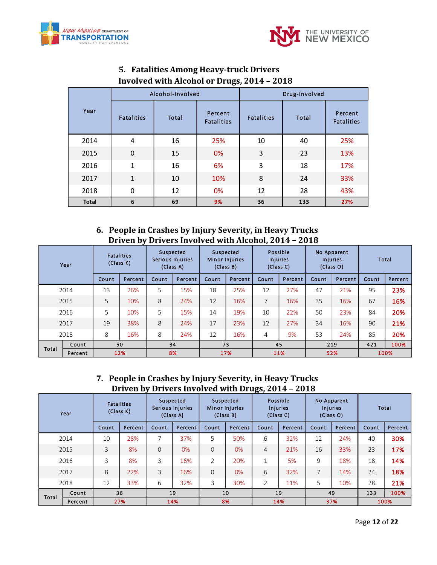



<span id="page-11-0"></span>

|                   |                   | Alcohol-involved                      |     | Drug-involved     |       |                              |  |  |
|-------------------|-------------------|---------------------------------------|-----|-------------------|-------|------------------------------|--|--|
| Year              | <b>Fatalities</b> | Percent<br>Total<br><b>Fatalities</b> |     | <b>Fatalities</b> | Total | Percent<br><b>Fatalities</b> |  |  |
| 2014              | 4                 | 16                                    | 25% | 10                | 40    | 25%                          |  |  |
| 2015              | $\mathbf 0$       | 15                                    | 0%  | 3                 | 23    | 13%                          |  |  |
| 2016              | $\mathbf{1}$      | 16                                    | 6%  | 3                 | 18    | 17%                          |  |  |
| 2017              | $\mathbf{1}$      | 10                                    | 10% | 8                 | 24    | 33%                          |  |  |
| 2018              | 0                 |                                       | 0%  | 12                | 28    | 43%                          |  |  |
| 6<br><b>Total</b> |                   | 69                                    | 9%  | 36                | 133   | 27%                          |  |  |

## **5. Fatalities Among Heavy-truck Drivers Involved with Alcohol or Drugs, 2014 – 2018**

#### **6. People in Crashes by Injury Severity, in Heavy Trucks Driven by Drivers Involved with Alcohol, 2014 – 2018**

<span id="page-11-1"></span>

| Year  |         | <b>Fatalities</b><br>(Class K) |         | Suspected<br>Serious Injuries<br>(Class A) |         | <b>Suspected</b><br>Minor Injuries<br>(Class B) |         | Possible<br><b>Injuries</b><br>(Class C) |         | No Apparent<br><b>Injuries</b><br>(Class O) |         | Total |         |
|-------|---------|--------------------------------|---------|--------------------------------------------|---------|-------------------------------------------------|---------|------------------------------------------|---------|---------------------------------------------|---------|-------|---------|
|       |         | Count                          | Percent | Count                                      | Percent | Count                                           | Percent | Count                                    | Percent | Count                                       | Percent | Count | Percent |
|       | 2014    | 13                             | 26%     | 5                                          | 15%     | 18                                              | 25%     | 12                                       | 27%     | 47                                          | 21%     | 95    | 23%     |
|       | 2015    | 5                              | 10%     | 8                                          | 24%     | 12                                              | 16%     | 7                                        | 16%     | 35                                          | 16%     | 67    | 16%     |
|       | 2016    | 5                              | 10%     | 5                                          | 15%     | 14                                              | 19%     | 10                                       | 22%     | 50                                          | 23%     | 84    | 20%     |
|       | 2017    | 19                             | 38%     | 8                                          | 24%     | 17                                              | 23%     | 12                                       | 27%     | 34                                          | 16%     | 90    | 21%     |
|       | 2018    | 8                              | 16%     | 8                                          | 24%     | 12                                              | 16%     | 4                                        | 9%      | 53                                          | 24%     | 85    | 20%     |
| Total | Count   |                                | 50      |                                            | 34      |                                                 | 73      |                                          | 45      |                                             | 219     |       | 100%    |
|       | Percent |                                | 12%     | 8%                                         |         | 17%                                             |         | 11%                                      |         | 52%                                         |         | 100%  |         |

#### **7. People in Crashes by Injury Severity, in Heavy Trucks Driven by Drivers Involved with Drugs, 2014 – 2018**

<span id="page-11-2"></span>

| Year  |         | <b>Fatalities</b><br>(Class K) |         | Suspected<br>Serious Injuries<br>(Class A) |         | Suspected<br>Minor Injuries<br>(Class B) |         | Possible<br><b>Injuries</b><br>(Class C) |         | No Apparent<br><b>Injuries</b><br>(Class O) |         | Total |         |
|-------|---------|--------------------------------|---------|--------------------------------------------|---------|------------------------------------------|---------|------------------------------------------|---------|---------------------------------------------|---------|-------|---------|
|       |         | Count                          | Percent | Count                                      | Percent | Count                                    | Percent | Count                                    | Percent | Count                                       | Percent | Count | Percent |
|       | 2014    | 10                             | 28%     | 7                                          | 37%     | 5                                        | 50%     | 6                                        | 32%     | 12                                          | 24%     | 40    | 30%     |
|       | 2015    | 3                              | 8%      | $\overline{0}$                             | 0%      | $\Omega$                                 | 0%      | $\overline{4}$                           | 21%     | 16                                          | 33%     | 23    | 17%     |
|       | 2016    | 3                              | 8%      | 3                                          | 16%     | $\overline{2}$                           | 20%     | $\mathbf{1}$                             | 5%      | 9                                           | 18%     | 18    | 14%     |
|       | 2017    | 8                              | 22%     | 3                                          | 16%     | $\Omega$                                 | 0%      | 6                                        | 32%     | 7                                           | 14%     | 24    | 18%     |
|       | 2018    | 12                             | 33%     | 6                                          | 32%     | 3                                        | 30%     | $\overline{2}$                           | 11%     | 5                                           | 10%     | 28    | 21%     |
|       | Count   |                                | 36      |                                            | 19      |                                          | 10      |                                          | 19      |                                             | 49      | 133   | 100%    |
| Total | Percent |                                | 27%     | 14%                                        |         | 8%                                       |         | 14%                                      |         | 37%                                         |         | 100%  |         |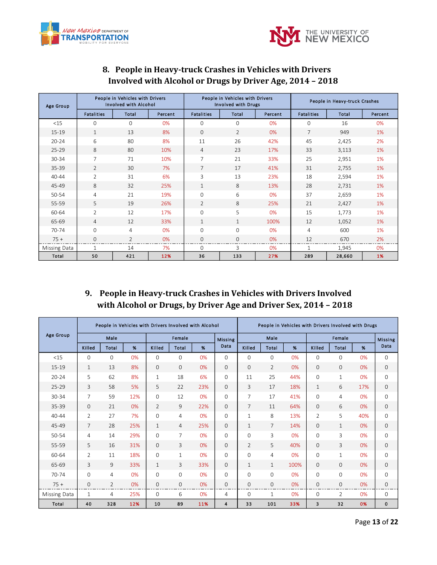



<span id="page-12-0"></span>

| Age Group    |                   | People in Vehicles with Drivers<br><b>Involved with Alcohol</b> |         |                   | People in Vehicles with Drivers<br><b>Involved with Drugs</b> |         | People in Heavy-truck Crashes |        |         |  |
|--------------|-------------------|-----------------------------------------------------------------|---------|-------------------|---------------------------------------------------------------|---------|-------------------------------|--------|---------|--|
|              | <b>Fatalities</b> | Total                                                           | Percent | <b>Fatalities</b> | Total                                                         | Percent | <b>Fatalities</b>             | Total  | Percent |  |
| <15          | $\Omega$          | $\mathbf 0$                                                     | 0%      | 0                 | 0                                                             | 0%      | $\mathbf{0}$                  | 16     | 0%      |  |
| 15-19        | $\mathbf{1}$      | 13                                                              | 8%      | $\Omega$          | 2                                                             | 0%      | 7                             | 949    | 1%      |  |
| $20 - 24$    | 6                 | 80                                                              | 8%      | 11                | 26                                                            | 42%     | 45                            | 2,425  | 2%      |  |
| $25 - 29$    | 8                 | 80                                                              | 10%     | $\overline{4}$    | 23                                                            | 17%     | 33                            | 3,113  | 1%      |  |
| 30-34        | 7                 | 71                                                              | 10%     | 7                 | 21                                                            | 33%     | 25                            | 2,951  | 1%      |  |
| 35-39        | $\mathcal{L}$     | 30                                                              | 7%      | $\overline{7}$    | 17                                                            | 41%     | 31                            | 2,755  | 1%      |  |
| $40 - 44$    | $\overline{2}$    | 31                                                              | 6%      | 3                 | 13                                                            | 23%     | 18                            | 2,594  | 1%      |  |
| 45-49        | 8                 | 32                                                              | 25%     | $\mathbf{1}$      | 8                                                             | 13%     | 28                            | 2,731  | 1%      |  |
| 50-54        | $\overline{4}$    | 21                                                              | 19%     | $\mathbf{O}$      | 6                                                             | 0%      | 37                            | 2,659  | 1%      |  |
| 55-59        | 5                 | 19                                                              | 26%     | $\overline{2}$    | 8                                                             | 25%     | 21                            | 2,427  | 1%      |  |
| 60-64        | $\overline{2}$    | 12                                                              | 17%     | $\Omega$          | 5                                                             | 0%      | 15                            | 1,773  | 1%      |  |
| 65-69        | $\overline{4}$    | 12                                                              | 33%     | $\mathbf{1}$      | $\mathbf{1}$                                                  | 100%    | 12                            | 1,052  | 1%      |  |
| 70-74        | $\Omega$          | 4                                                               | 0%      | $\Omega$          | $\Omega$                                                      | 0%      | 4                             | 600    | 1%      |  |
| $75+$        | $\mathbf{0}$      | $\overline{2}$                                                  | 0%      | $\mathbf{O}$      | $\mathbf{0}$                                                  | 0%      | 12                            | 670    | 2%      |  |
| Missing Data | $\mathbf{1}$      | 14                                                              | 7%      | $\Omega$          | 3                                                             | 0%      | 1                             | 1,945  | 0%      |  |
| Total        | 50                | 421                                                             | 12%     | 36                | 133                                                           | 27%     | 289                           | 28,660 | 1%      |  |

## **8. People in Heavy-truck Crashes in Vehicles with Drivers Involved with Alcohol or Drugs by Driver Age, 2014 – 2018**

## <span id="page-12-1"></span>**9. People in Heavy-truck Crashes in Vehicles with Drivers Involved with Alcohol or Drugs, by Driver Age and Driver Sex, 2014 – 2018**

|                  |                | People in Vehicles with Drivers Involved with Alcohol |     |                |                |     |                | People in Vehicles with Drivers Involved with Drugs |                |      |              |              |     |                |
|------------------|----------------|-------------------------------------------------------|-----|----------------|----------------|-----|----------------|-----------------------------------------------------|----------------|------|--------------|--------------|-----|----------------|
| <b>Age Group</b> |                | Male                                                  |     | Female         |                |     | <b>Missing</b> |                                                     | Male           |      |              | Female       |     | <b>Missing</b> |
|                  | Killed         | Total                                                 | %   | Killed         | <b>Total</b>   | %   | Data           | Killed                                              | Total          | %    | Killed       | <b>Total</b> | %   | Data           |
| <15              | $\Omega$       | $\Omega$                                              | 0%  | $\Omega$       | $\mathbf{O}$   | 0%  | 0              | $\Omega$                                            | $\mathbf{0}$   | 0%   | 0            | $\Omega$     | 0%  | 0              |
| $15 - 19$        | $\mathbf{1}$   | 13                                                    | 8%  | $\Omega$       | $\Omega$       | 0%  | $\Omega$       | $\Omega$                                            | $\overline{2}$ | 0%   | $\mathbf{0}$ | $\Omega$     | 0%  | $\mathbf{0}$   |
| $20 - 24$        | 5              | 62                                                    | 8%  | $\mathbf{1}$   | 18             | 6%  | $\Omega$       | 11                                                  | 25             | 44%  | $\mathbf 0$  | $\mathbf{1}$ | 0%  | 0              |
| $25 - 29$        | 3              | 58                                                    | 5%  | 5              | 22             | 23% | 0              | 3                                                   | 17             | 18%  | 1            | 6            | 17% | $\mathbf{0}$   |
| 30-34            | $\overline{7}$ | 59                                                    | 12% | $\mathbf{0}$   | 12             | 0%  | $\Omega$       | 7                                                   | 17             | 41%  | $\mathbf 0$  | 4            | 0%  | 0              |
| 35-39            | $\mathbf{0}$   | 21                                                    | 0%  | $\overline{2}$ | 9              | 22% | 0              | $\overline{7}$                                      | 11             | 64%  | $\mathbf{0}$ | 6            | 0%  | 0              |
| $40 - 44$        | 2              | 27                                                    | 7%  | $\mathbf 0$    | 4              | 0%  | 0              | 1                                                   | 8              | 13%  | 2            | 5            | 40% | 0              |
| 45-49            | $\overline{7}$ | 28                                                    | 25% | $\mathbf{1}$   | $\overline{4}$ | 25% | $\Omega$       | 1                                                   | $\overline{7}$ | 14%  | $\mathbf{0}$ | $\mathbf{1}$ | 0%  | 0              |
| 50-54            | 4              | 14                                                    | 29% | $\mathbf{0}$   | 7              | 0%  | 0              | 0                                                   | 3              | 0%   | 0            | 3            | 0%  | 0              |
| 55-59            | 5              | 16                                                    | 31% | $\mathbf{0}$   | 3              | 0%  | 0              | $\overline{2}$                                      | 5              | 40%  | $\mathbf{0}$ | 3            | 0%  | 0              |
| 60-64            | $\overline{2}$ | 11                                                    | 18% | $\mathbf{0}$   | $\mathbf{1}$   | 0%  | 0              | 0                                                   | 4              | 0%   | 0            | $\mathbf{1}$ | 0%  | 0              |
| 65-69            | 3              | 9                                                     | 33% | $\mathbf{1}$   | 3              | 33% | 0              | $\mathbf{1}$                                        | 1              | 100% | $\mathbf{0}$ | $\mathbf{O}$ | 0%  | $\mathbf{0}$   |
| $70 - 74$        | $\mathbf{0}$   | 4                                                     | 0%  | $\mathbf{0}$   | $\mathbf{O}$   | 0%  | 0              | 0                                                   | $\mathbf 0$    | 0%   | 0            | 0            | 0%  | 0              |
| $75+$            | $\mathbf{0}$   | 2                                                     | 0%  | $\mathbf{0}$   | $\mathbf{0}$   | 0%  | 0              | 0                                                   | 0              | 0%   | $\mathbf{0}$ | 0            | 0%  | 0              |
| Missing Data     | 1              | 4                                                     | 25% | $\mathbf 0$    | 6              | 0%  | 4              | 0                                                   | 1              | 0%   | 0            | 2            | 0%  | 0              |
| Total            | 40             | 328                                                   | 12% | 10             | 89             | 11% | 4              | 33                                                  | 101            | 33%  | 3            | 32           | 0%  | 0              |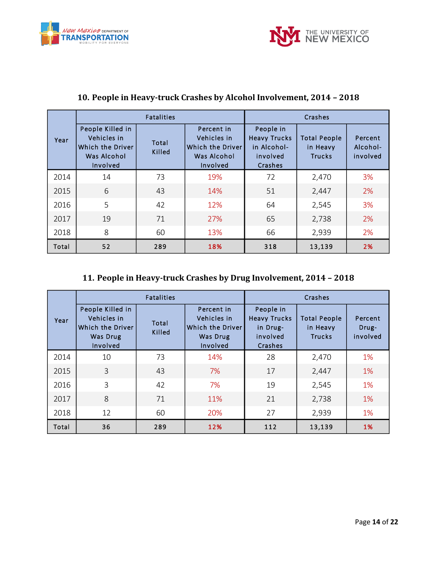



|       |                                                                                | <b>Fatalities</b> |                                                                          | Crashes                                                                |                                                  |                                 |  |  |  |
|-------|--------------------------------------------------------------------------------|-------------------|--------------------------------------------------------------------------|------------------------------------------------------------------------|--------------------------------------------------|---------------------------------|--|--|--|
| Year  | People Killed in<br>Vehicles in<br>Which the Driver<br>Was Alcohol<br>Involved | Total<br>Killed   | Percent in<br>Vehicles in<br>Which the Driver<br>Was Alcohol<br>Involved | People in<br><b>Heavy Trucks</b><br>in Alcohol-<br>involved<br>Crashes | <b>Total People</b><br>in Heavy<br><b>Trucks</b> | Percent<br>Alcohol-<br>involved |  |  |  |
| 2014  | 14                                                                             | 73                | 19%                                                                      | 72                                                                     | 2,470                                            | 3%                              |  |  |  |
| 2015  | 6                                                                              | 43                | 14%                                                                      | 51                                                                     | 2,447                                            | 2%                              |  |  |  |
| 2016  | 5                                                                              | 42                | 12%                                                                      | 64                                                                     | 2,545                                            | 3%                              |  |  |  |
| 2017  | 19                                                                             | 71                | 27%                                                                      | 65                                                                     | 2,738                                            | 2%                              |  |  |  |
| 2018  | 8                                                                              | 60                | 13%                                                                      | 66                                                                     | 2,939                                            | 2%                              |  |  |  |
| Total | 52                                                                             | 289               | 18%                                                                      | 318                                                                    | 13,139                                           | 2%                              |  |  |  |

## <span id="page-13-0"></span>**10. People in Heavy-truck Crashes by Alcohol Involvement, 2014 – 2018**

#### <span id="page-13-1"></span>**11. People in Heavy-truck Crashes by Drug Involvement, 2014 – 2018**

|       |                                                                             | <b>Fatalities</b> |                                                                       |                                                                     | Crashes                                          |                              |
|-------|-----------------------------------------------------------------------------|-------------------|-----------------------------------------------------------------------|---------------------------------------------------------------------|--------------------------------------------------|------------------------------|
| Year  | People Killed in<br>Vehicles in<br>Which the Driver<br>Was Drug<br>Involved | Total<br>Killed   | Percent in<br>Vehicles in<br>Which the Driver<br>Was Drug<br>Involved | People in<br><b>Heavy Trucks</b><br>in Drug-<br>involved<br>Crashes | <b>Total People</b><br>in Heavy<br><b>Trucks</b> | Percent<br>Drug-<br>involved |
| 2014  | 10                                                                          | 73                | 14%                                                                   | 28                                                                  | 2,470                                            | 1%                           |
| 2015  | 3                                                                           | 43                | 7%                                                                    | 17                                                                  | 2,447                                            | 1%                           |
| 2016  | 3                                                                           | 42                | 7%                                                                    | 19                                                                  | 2,545                                            | 1%                           |
| 2017  | 8                                                                           | 71                | 11%                                                                   | 21                                                                  | 2,738                                            | 1%                           |
| 2018  | 12                                                                          | 60                | 20%                                                                   | 27                                                                  | 2,939                                            | 1%                           |
| Total | 36                                                                          | 289               | 12%                                                                   | 112                                                                 | 13,139                                           | 1%                           |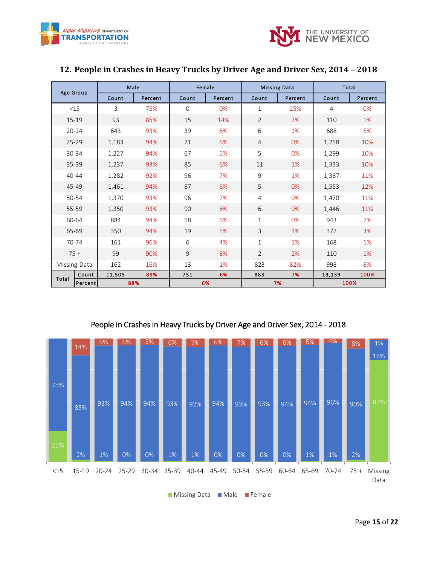



| Age Group |              |        | Male    |             | Female  |                | <b>Missing Data</b> |        | <b>Total</b> |
|-----------|--------------|--------|---------|-------------|---------|----------------|---------------------|--------|--------------|
|           |              | Count  | Percent | Count       | Percent | Count          | Percent             | Count  | Percent      |
|           | <15          | 3      | 75%     | $\mathbf 0$ | 0%      | 1              | 25%                 | 4      | 0%           |
|           | $15 - 19$    | 93     | 85%     | 15          | 14%     | $\overline{2}$ | 2%                  | 110    | 1%           |
|           | $20 - 24$    | 643    | 93%     | 39          | 6%      | 6              | 1%                  | 688    | 5%           |
|           | $25 - 29$    | 1,183  | 94%     | 71          | 6%      | $\overline{4}$ | 0%                  | 1,258  | 10%          |
|           | 30-34        | 1,227  | 94%     | 67          | 5%      | 5              | 0%                  | 1,299  | 10%          |
|           | 35-39        | 1,237  | 93%     | 85          | 6%      | 11             | 1%                  | 1,333  | 10%          |
|           | 40-44        | 1,282  | 92%     | 96          | 7%      | 9              | 1%                  | 1,387  | 11%          |
|           | 45-49        | 1,461  | 94%     | 87          | 6%      | 5              | 0%                  | 1,553  | 12%          |
|           | 50-54        | 1,370  | 93%     | 96          | 7%      | $\overline{4}$ | 0%                  | 1,470  | 11%          |
|           | 55-59        | 1,350  | 93%     | 90          | 6%      | 6              | 0%                  | 1,446  | 11%          |
|           | 60-64        | 884    | 94%     | 58          | 6%      | 1              | 0%                  | 943    | 7%           |
|           | 65-69        | 350    | 94%     | 19          | 5%      | 3              | 1%                  | 372    | 3%           |
|           | 70-74        | 161    | 96%     | 6           | 4%      | $\mathbf{1}$   | 1%                  | 168    | 1%           |
|           | $75 +$       | 99     | 90%     | 9           | 8%      | $\overline{2}$ | 2%                  | 110    | 1%           |
|           | Missing Data | 162    | 16%     | 13          | 1%      | 823            | 82%                 | 998    | 8%           |
| Total     | Count        | 11,505 | 88%     | 751         | 6%      | 883            | 7%                  | 13,139 | 100%         |
|           | Percent      |        | 88%     |             | 6%      |                | 7%                  |        | 100%         |

#### <span id="page-14-0"></span>**12. People in Crashes in Heavy Trucks by Driver Age and Driver Sex, 2014 – 2018**



People in Crashes in Heavy Trucks by Driver Age and Driver Sex, 2014 - 2018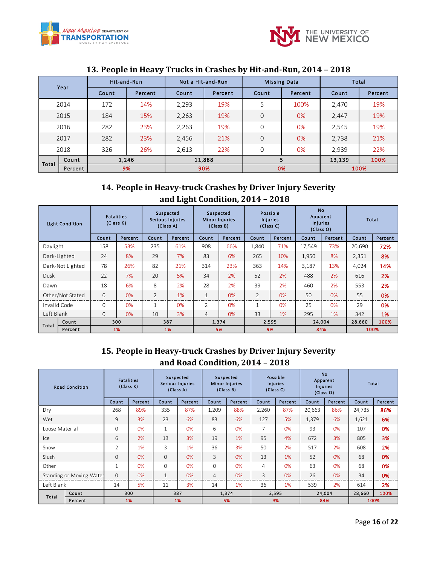



|       |         |       | Hit-and-Run | Not a Hit-and-Run |         |       | <b>Missing Data</b> |        | Total   |
|-------|---------|-------|-------------|-------------------|---------|-------|---------------------|--------|---------|
|       | Year    | Count | Percent     | Count             | Percent | Count | Percent             | Count  | Percent |
|       | 2014    | 172   | 14%         | 2,293             | 19%     | 5     | 100%                | 2,470  | 19%     |
|       | 2015    | 184   | 15%         | 2,263             | 19%     | 0     | 0%                  | 2,447  | 19%     |
|       | 2016    | 282   | 23%         | 2,263             | 19%     | 0     | 0%                  | 2,545  | 19%     |
|       | 2017    | 282   | 23%         | 2,456             | 21%     | 0     | 0%                  | 2,738  | 21%     |
|       | 2018    | 326   | 26%         | 2,613             | 22%     | 0     | 0%                  | 2.939  | 22%     |
|       | Count   |       | 1,246       |                   | 11,888  |       | 5                   | 13,139 | 100%    |
| Total | Percent |       | 9%          |                   | 90%     |       | 0%                  |        | 100%    |

#### <span id="page-15-0"></span>**13. People in Heavy Trucks in Crashes by Hit-and-Run, 2014 – 2018**

## <span id="page-15-1"></span>**14. People in Heavy-truck Crashes by Driver Injury Severity and Light Condition, 2014 – 2018**

|                  | <b>Light Condition</b> |              | <b>Fatalities</b><br>(Class K) |                | Suspected<br>Serious Injuries<br>(Class A) |                | Suspected<br>Minor Injuries<br>(Class B) |                | Possible<br>Injuries<br>(Class C) | <b>No</b><br>Apparent<br><b>Injuries</b> | (Class O) |        | Total   |
|------------------|------------------------|--------------|--------------------------------|----------------|--------------------------------------------|----------------|------------------------------------------|----------------|-----------------------------------|------------------------------------------|-----------|--------|---------|
|                  |                        | Count        | Percent                        | Count          | Percent                                    | <b>Count</b>   | Percent                                  | Count          | Percent                           | Count                                    | Percent   | Count  | Percent |
| Daylight         |                        | 158          | 53%                            | 235            | 61%                                        | 908            | 66%                                      | 1,840          | 71%                               | 17.549                                   | 73%       | 20.690 | 72%     |
|                  | Dark-Lighted           | 24           | 8%                             | 29             | 7%                                         | 83             | 6%                                       | 265            | 10%                               | 1,950                                    | 8%        | 2,351  | 8%      |
| Dark-Not Lighted |                        | 78           | 26%                            | 82             | 21%                                        | 314            | 23%                                      | 363            | 14%                               | 3,187                                    | 13%       | 4,024  | 14%     |
| <b>Dusk</b>      |                        | 22           | 7%                             | 20             | 5%                                         | 34             | 2%                                       | 52             | 2%                                | 488                                      | 2%        | 616    | 2%      |
| Dawn             |                        | 18           | 6%                             | 8              | 2%                                         | 28             | 2%                                       | 39             | 2%                                | 460                                      | 2%        | 553    | 2%      |
|                  | Other/Not Stated       | $\mathbf{O}$ | $0\%$                          | $\overline{2}$ | 1%                                         | $\mathbf{1}$   | 0%                                       | $\overline{2}$ | 0%                                | 50                                       | 0%        | 55     | 0%      |
| Invalid Code     |                        | $\Omega$     | 0%                             | 1              | 0%                                         | $\overline{2}$ | 0%                                       | $\mathbf{1}$   | 0%                                | 25                                       | $0\%$     | 29     | 0%      |
| Left Blank       |                        | $\Omega$     | 0%                             | 10             | 3%                                         | $\overline{4}$ | 0%                                       | 33             | 1%                                | 295                                      | 1%        | 342    | 1%      |
| Total            | Count                  |              | 300                            |                | 387                                        |                | 1,374                                    |                | 2,595                             | 24,004                                   |           | 28,660 | 100%    |
|                  | Percent                |              | 1%                             |                | 1%                                         |                | 5%                                       |                | 9%                                |                                          | 84%       |        | 100%    |

#### <span id="page-15-2"></span>**15. People in Heavy-truck Crashes by Driver Injury Severity and Road Condition, 2014 – 2018**

|                | <b>Road Condition</b>    |                | <b>Fatalities</b><br>(Class K) |              | Suspected<br>Serious Injuries<br>(Class A) |                | Suspected<br><b>Minor Injuries</b><br>(Class B) |                | Possible<br><b>Injuries</b><br>(Class C) |        | <b>No</b><br>Apparent<br><b>Injuries</b><br>(Class O) |        | Total   |
|----------------|--------------------------|----------------|--------------------------------|--------------|--------------------------------------------|----------------|-------------------------------------------------|----------------|------------------------------------------|--------|-------------------------------------------------------|--------|---------|
|                |                          | Count          | Percent                        | Count        | Percent                                    | Count          | Percent                                         | Count          | <b>Percent</b>                           | Count  | Percent                                               | Count  | Percent |
| Dry            |                          | 268            | 89%                            | 335          | 87%                                        | 1,209          | 88%                                             | 2,260          | 87%                                      | 20,663 | 86%                                                   | 24,735 | 86%     |
| Wet            |                          | 9              | 3%                             | 23           | 6%                                         | 83             | 6%                                              | 127            | 5%                                       | 1,379  | 6%                                                    | 1,621  | 6%      |
| Loose Material |                          | $\mathbf{O}$   | 0%                             | $\mathbf{1}$ | 0%                                         | 6              | 0%                                              | 7              | 0%                                       | 93     | 0%                                                    | 107    | 0%      |
| Ice            |                          | 6              | 2%                             | 13           | 3%                                         | 19             | 1%                                              | 95             | 4%                                       | 672    | 3%                                                    | 805    | 3%      |
| Snow           |                          | $\overline{2}$ | 1%                             | 3            | 1%                                         | 36             | 3%                                              | 50             | 2%                                       | 517    | 2%                                                    | 608    | 2%      |
| Slush          |                          | $\Omega$       | 0%                             | $\mathbf{0}$ | $0\%$                                      | 3              | 0%                                              | 13             | 1%                                       | 52     | 0%                                                    | 68     | 0%      |
| Other          |                          | $\mathbf{1}$   | 0%                             | $\Omega$     | $0\%$                                      | $\Omega$       | 0%                                              | $\overline{4}$ | 0%                                       | 63     | 0%                                                    | 68     | 0%      |
|                | Standing or Moving Water | $\mathbf{0}$   | 0%                             | $\mathbf{1}$ | 0%                                         | $\overline{4}$ | 0%                                              | 3              | 0%                                       | 26     | 0%                                                    | 34     | 0%      |
| Left Blank     |                          | 14             | 5%                             | 11           | 3%                                         | 14             | 1%                                              | 36             | 1%                                       | 539    | 2%                                                    | 614    | 2%      |
| Total          | Count                    |                | 300                            |              | 387                                        |                | 1,374                                           |                | 2,595                                    |        | 24,004                                                | 28,660 | 100%    |
|                | Percent                  |                | 1%                             |              | 1%                                         |                | 5%                                              |                | 9%                                       |        | 84%                                                   |        | 100%    |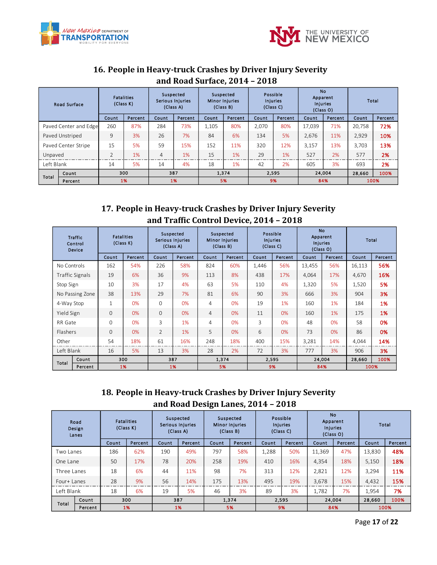



## <span id="page-16-0"></span>**16. People in Heavy-truck Crashes by Driver Injury Severity and Road Surface, 2014 – 2018**

|                     | <b>Road Surface</b>   | (Class K)      | <b>Fatalities</b> |                | Suspected<br><b>Serious Injuries</b><br>(Class A) |              | Suspected<br><b>Minor Injuries</b><br>(Class B) |       | Possible<br><b>Injuries</b><br>(Class C) | Apparent<br><b>Injuries</b> | No.<br>(Class O) |        | Total   |
|---------------------|-----------------------|----------------|-------------------|----------------|---------------------------------------------------|--------------|-------------------------------------------------|-------|------------------------------------------|-----------------------------|------------------|--------|---------|
|                     |                       | Count          | Percent           | Count          | Percent                                           | <b>Count</b> | Percent                                         | Count | Percent                                  | Count                       | Percent          | Count  | Percent |
|                     | Paved Center and Edge | 260            | 87%               | 284            | 73%                                               | 1,105        | 80%                                             | 2.070 | 80%                                      | 17.039                      | 71%              | 20.758 | 72%     |
| Paved Unstriped     |                       | 9              | 3%                | 26             | 7%                                                | 84           | 6%                                              | 134   | 5%                                       | 2,676                       | 11%              | 2,929  | 10%     |
| Paved Center Stripe |                       | 15             | 5%                | 59             | 15%                                               | 152          | 11%                                             | 320   | 12%                                      | 3,157                       | 13%              | 3,703  | 13%     |
| Unpaved             |                       | $\overline{2}$ | 1%                | $\overline{4}$ | 1%                                                | 15           | 1%                                              | 29    | 1%                                       | 527                         | 2%               | 577    | 2%      |
| Left Blank          |                       | 14             | 5%                | 14             | 4%                                                | 18           | 1%                                              | 42    | 2%                                       | 605                         | 3%               | 693    | 2%      |
|                     | Count                 |                | 300               |                | 387                                               |              | 1,374                                           |       | 2,595                                    | 24,004                      |                  | 28,660 | 100%    |
| Total               | Percent               |                | 1%                |                | 1%                                                |              | 5%                                              |       | 9%                                       |                             | 84%              |        | 100%    |

#### <span id="page-16-1"></span>**17. People in Heavy-truck Crashes by Driver Injury Severity and Traffic Control Device, 2014 – 2018**

|                 | <b>Traffic</b><br>Control<br>Device |              | <b>Fatalities</b><br>(Class K) |                | Suspected<br>Serious Injuries<br>(Class A) |                | Suspected<br><b>Minor Injuries</b><br>(Class B) |       | Possible<br><b>Injuries</b><br>(Class C) | <b>No</b><br><b>Injuries</b> | Apparent<br>(Class O) |        | Total   |
|-----------------|-------------------------------------|--------------|--------------------------------|----------------|--------------------------------------------|----------------|-------------------------------------------------|-------|------------------------------------------|------------------------------|-----------------------|--------|---------|
|                 |                                     | Count        | Percent                        | Count          | Percent                                    | Count          | Percent                                         | Count | Percent                                  | Count                        | Percent               | Count  | Percent |
| No Controls     |                                     | 162          | 54%                            | 226            | 58%                                        | 824            | 60%                                             | 1,446 | 56%                                      | 13,455                       | 56%                   | 16,113 | 56%     |
|                 | <b>Traffic Signals</b>              | 19           | 6%                             | 36             | 9%                                         | 113            | 8%                                              | 438   | 17%                                      | 4,064                        | 17%                   | 4,670  | 16%     |
| Stop Sign       |                                     | 10           | 3%                             | 17             | 4%                                         | 63             | 5%                                              | 110   | 4%                                       | 1,320                        | 5%                    | 1,520  | 5%      |
|                 | No Passing Zone                     | 38           | 13%                            | 29             | 7%                                         | 81             | 6%                                              | 90    | 3%                                       | 666                          | 3%                    | 904    | 3%      |
| 4-Way Stop      |                                     | $\mathbf{1}$ | 0%                             | $\Omega$       | 0%                                         | 4              | 0%                                              | 19    | 1%                                       | 160                          | 1%                    | 184    | 1%      |
| Yield Sign      |                                     | $\mathbf{O}$ | 0%                             | $\Omega$       | 0%                                         | $\overline{4}$ | 0%                                              | 11    | 0%                                       | 160                          | 1%                    | 175    | 1%      |
| RR Gate         |                                     | $\mathbf{0}$ | 0%                             | 3              | 1%                                         | $\overline{4}$ | 0%                                              | 3     | 0%                                       | 48                           | 0%                    | 58     | 0%      |
| <b>Flashers</b> |                                     | $\Omega$     | 0%                             | $\overline{2}$ | 1%                                         | 5              | 0%                                              | 6     | 0%                                       | 73                           | 0%                    | 86     | 0%      |
| Other           |                                     | 54           | 18%                            | 61             | 16%                                        | 248            | 18%                                             | 400   | 15%                                      | 3,281                        | 14%                   | 4,044  | 14%     |
| Left Blank      |                                     | 16           | 5%                             | 13             | 3%                                         | 28             | 2%                                              | 72    | 3%                                       | 777                          | 3%                    | 906    | 3%      |
| Total           | Count                               |              | 300                            |                | 387                                        |                | 1,374                                           |       | 2,595                                    |                              | 24,004                | 28,660 | 100%    |
|                 | Percent                             |              | 1%                             |                | 1%                                         |                | 5%                                              |       | 9%                                       |                              | 84%                   |        | 100%    |

## <span id="page-16-2"></span>**18. People in Heavy-truck Crashes by Driver Injury Severity and Road Design Lanes, 2014 – 2018**

|             | Road<br>Design<br>Lanes |       | <b>Fatalities</b><br>(Class K) |       | Suspected<br>Serious Injuries<br>(Class A) |       | Suspected<br><b>Minor Injuries</b><br>(Class B) |       | Possible<br><b>Injuries</b><br>(Class C) |        | <b>No</b><br>Apparent<br><b>Injuries</b><br>(Class O) |        | Total   |
|-------------|-------------------------|-------|--------------------------------|-------|--------------------------------------------|-------|-------------------------------------------------|-------|------------------------------------------|--------|-------------------------------------------------------|--------|---------|
|             |                         | Count | Percent                        | Count | Percent                                    | Count | Percent                                         | Count | Percent                                  | Count  | Percent                                               | Count  | Percent |
| Two Lanes   |                         | 186   | 62%                            | 190   | 49%                                        | 797   | 58%                                             | 1,288 | 50%                                      | 11,369 | 47%                                                   | 13.830 | 48%     |
| One Lane    |                         | 50    | 17%                            | 78    | 20%                                        | 258   | 19%                                             | 410   | 16%                                      | 4,354  | 18%                                                   | 5,150  | 18%     |
| Three Lanes |                         | 18    | 6%                             | 44    | 11%                                        | 98    | 7%                                              | 313   | 12%                                      | 2,821  | 12%                                                   | 3.294  | 11%     |
| Four+ Lanes |                         | 28    | 9%                             | 56    | 14%                                        | 175   | 13%                                             | 495   | 19%                                      | 3,678  | 15%                                                   | 4,432  | 15%     |
| Left Blank  |                         | 18    | 6%                             | 19    | 5%                                         | 46    | 3%                                              | 89    | 3%                                       | 1,782  | 7%                                                    | 1.954  | 7%      |
| Total       | Count                   |       | 300                            |       | 387                                        |       | 1,374                                           |       | 2,595                                    |        | 24,004                                                | 28,660 | 100%    |
|             | Percent                 |       | 1%                             |       | 1%                                         |       | 5%                                              |       | 9%                                       |        | 84%                                                   |        | 100%    |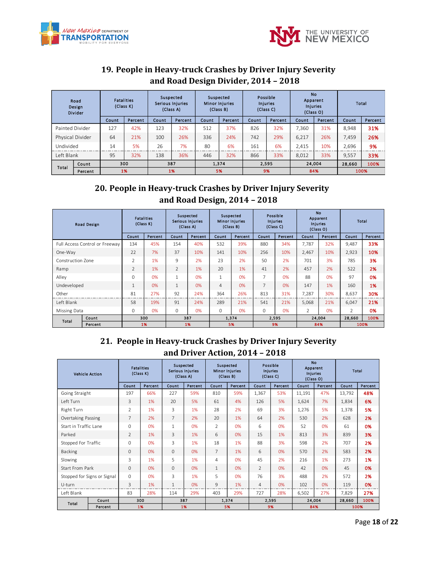



## <span id="page-17-0"></span>**19. People in Heavy-truck Crashes by Driver Injury Severity and Road Design Divider, 2014 – 2018**

|                  | Road<br>Design<br><b>Divider</b> |       | <b>Fatalities</b><br>(Class K) | Suspected<br><b>Serious Injuries</b> | (Class A) | Suspected | <b>Minor Injuries</b><br>(Class B) |       | Possible<br><b>Injuries</b><br>(Class C) |       | <b>No</b><br>Apparent<br><b>Injuries</b><br>(Class O) |        | Total   |
|------------------|----------------------------------|-------|--------------------------------|--------------------------------------|-----------|-----------|------------------------------------|-------|------------------------------------------|-------|-------------------------------------------------------|--------|---------|
|                  |                                  | Count | Percent                        | Count                                | Percent   | Count     | Percent                            | Count | Percent                                  | Count | Percent                                               | Count  | Percent |
| Painted Divider  |                                  | 127   | 42%                            | 123                                  | 32%       | 512       | 37%                                | 826   | 32%                                      | 7.360 | 31%                                                   | 8.948  | 31%     |
| Physical Divider |                                  | 64    | 21%                            | 100                                  | 26%       | 336       | 24%                                | 742   | 29%                                      | 6,217 | 26%                                                   | 7.459  | 26%     |
| Undivided        |                                  | 14    | 5%                             | 26                                   | 7%        | 80        | 6%                                 | 161   | 6%                                       | 2,415 | 10%                                                   | 2,696  | 9%      |
| Left Blank       |                                  | 95    | 32%                            | 138                                  | 36%       | 446       | 32%                                | 866   | 33%                                      | 8.012 | 33%                                                   | 9.557  | 33%     |
| Total            | <b>Count</b>                     |       | 300                            |                                      | 387       |           | 1.374                              |       | 2,595                                    |       | 24.004                                                | 28,660 | 100%    |
|                  | Percent                          |       | 1%                             |                                      | 1%        |           | 5%                                 |       | 9%                                       |       | 84%                                                   |        | 100%    |

#### <span id="page-17-1"></span>**20. People in Heavy-truck Crashes by Driver Injury Severity and Road Design, 2014 – 2018**

|                   | <b>Road Design</b>             | (Class K)      | <b>Fatalities</b> |                | Suspected<br>Serious Injuries<br>(Class A) |                | Suspected<br><b>Minor Injuries</b><br>(Class B) | (Class C) | Possible<br><b>Injuries</b> | <b>No</b><br>Injuries | Apparent<br>(Class O) | <b>Total</b> |         |
|-------------------|--------------------------------|----------------|-------------------|----------------|--------------------------------------------|----------------|-------------------------------------------------|-----------|-----------------------------|-----------------------|-----------------------|--------------|---------|
|                   |                                | Count          | Percent           | Count          | Percent                                    | Count          | Percent                                         | Count     | Percent                     | Count                 | Percent               | Count        | Percent |
|                   | Full Access Control or Freeway | 134            | 45%               | 154            | 40%                                        | 532            | 39%                                             | 880       | 34%                         | 7,787                 | 32%                   | 9,487        | 33%     |
| One-Way           |                                | 22             | 7%                | 37             | 10%                                        | 141            | 10%                                             | 256       | 10%                         | 2,467                 | 10%                   | 2,923        | 10%     |
| Construction Zone |                                | 2              | 1%                | 9              | 2%                                         | 23             | 2%                                              | 50        | 2%                          | 701                   | 3%                    | 785          | 3%      |
| Ramp              |                                | $\overline{2}$ | 1%                | $\overline{2}$ | 1%                                         | 20             | 1%                                              | 41        | 2%                          | 457                   | 2%                    | 522          | 2%      |
| Alley             |                                | $\Omega$       | 0%                | $\mathbf{1}$   | 0%                                         | $\mathbf{1}$   | 0%                                              | 7         | 0%                          | 88                    | 0%                    | 97           | 0%      |
| Undeveloped       |                                | 1              | 0%                | $\mathbf{1}$   | 0%                                         | $\overline{4}$ | 0%                                              | 7         | 0%                          | 147                   | 1%                    | 160          | 1%      |
| Other             |                                | 81             | 27%               | 92             | 24%                                        | 364            | 26%                                             | 813       | 31%                         | 7,287                 | 30%                   | 8,637        | 30%     |
| Left Blank        |                                | 58             | 19%               | 91             | 24%                                        | 289            | 21%                                             | 541       | 21%                         | 5,068                 | 21%                   | 6,047        | 21%     |
| Missing Data      |                                | 0              | 0%                | $\Omega$       | 0%                                         | 0              | 0%                                              | $\circ$   | 0%                          | $\overline{2}$        | 0%                    | 2            | 0%      |
| Total             | Count                          |                | 300               |                | 387                                        |                | 1,374                                           |           | 2,595                       |                       | 24,004                | 28,660       | 100%    |
|                   | Percent                        |                | 1%                |                | 1%                                         |                | 5%                                              | 9%        |                             |                       | 84%                   |              | 100%    |

## <span id="page-17-2"></span>**21. People in Heavy-truck Crashes by Driver Injury Severity and Driver Action, 2014 – 2018**

| <b>Vehicle Action</b> |                             |                | <b>Fatalities</b><br>(Class K) |                | Suspected<br>Serious Injuries<br>(Class A) |                | Suspected<br><b>Minor Injuries</b><br>(Class B) |               | Possible<br>Injuries<br>(Class C) |        | <b>No</b><br>Apparent<br><b>Injuries</b><br>(Class O) | <b>Total</b> |         |
|-----------------------|-----------------------------|----------------|--------------------------------|----------------|--------------------------------------------|----------------|-------------------------------------------------|---------------|-----------------------------------|--------|-------------------------------------------------------|--------------|---------|
|                       |                             | Count          | Percent                        | Count          | Percent                                    | Count          | Percent                                         | Count         | Percent                           | Count  | Percent                                               | Count        | Percent |
| Going Straight        |                             | 197            | 66%                            | 227            | 59%                                        | 810            | 59%                                             | 1,367         | 53%                               | 11,191 | 47%                                                   | 13,792       | 48%     |
| Left Turn             |                             | 3              | 1%                             | 20             | 5%                                         | 61             | 4%                                              | 126           | 5%                                | 1,624  | 7%                                                    | 1,834        | 6%      |
| Right Turn            |                             | $\overline{2}$ | 1%                             | 3              | 1%                                         | 28             | 2%                                              | 69            | 3%                                | 1,276  | 5%                                                    | 1,378        | 5%      |
| Overtaking Passing    |                             | 7              | 2%                             | $\overline{7}$ | 2%                                         | 20             | 1%                                              | 64            | 2%                                | 530    | 2%                                                    | 628          | 2%      |
| Start in Traffic Lane |                             | $\Omega$       | 0%                             | $\mathbf{1}$   | 0%                                         | $\overline{2}$ | 0%                                              | 6             | 0%                                | 52     | 0%                                                    | 61           | 0%      |
| Parked                |                             | $\overline{2}$ | 1%                             | 3              | 1%                                         | 6              | 0%                                              | 15            | 1%                                | 813    | 3%                                                    | 839          | 3%      |
| Stopped For Traffic   |                             | $\Omega$       | 0%                             | 3              | 1%                                         | 18             | 1%                                              | 88            | 3%                                | 598    | 2%                                                    | 707          | 2%      |
| <b>Backing</b>        |                             | $\Omega$       | 0%                             | $\mathbf{0}$   | 0%                                         | $7^{\circ}$    | 1%                                              | 6             | 0%                                | 570    | 2%                                                    | 583          | 2%      |
| Slowing               |                             | 3              | 1%                             | 5              | 1%                                         | 4              | 0%                                              | 45            | 2%                                | 216    | 1%                                                    | 273          | 1%      |
| Start From Park       |                             | $\Omega$       | 0%                             | $\Omega$       | 0%                                         | $\mathbf{1}$   | 0%                                              | $\mathcal{P}$ | 0%                                | 42     | 0%                                                    | 45           | 0%      |
|                       | Stopped for Signs or Signal | $\Omega$       | 0%                             | 3              | 1%                                         | 5              | 0%                                              | 76            | 3%                                | 488    | 2%                                                    | 572          | 2%      |
| U-turn                |                             | 3              | 1%                             | 1              | 0%                                         | 9              | 1%                                              | 4             | 0%                                | 102    | 0%                                                    | 119          | 0%      |
| Left Blank            |                             | 83             | 28%                            | 114            | 29%                                        | 403            | 29%                                             | 727           | 28%                               | 6,502  | 27%                                                   | 7,829        | 27%     |
| Total                 | Count                       |                | 300                            |                | 387                                        |                | 1,374                                           |               | 2,595                             |        | 24,004                                                | 28,660       | 100%    |
|                       | Percent                     |                | 1%                             |                | 1%                                         |                | 5%                                              |               | 9%                                |        | 84%                                                   |              | 100%    |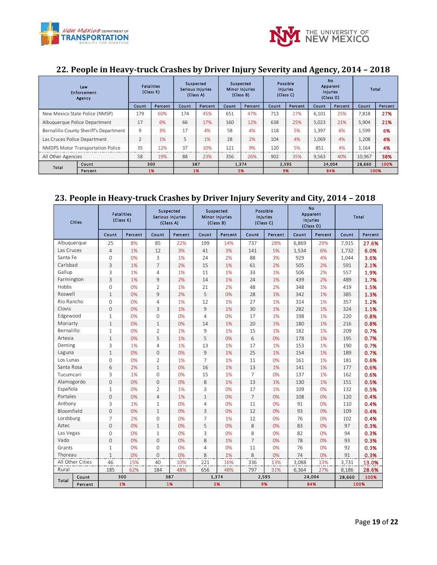



#### <span id="page-18-0"></span>**22. People in Heavy-truck Crashes by Driver Injury Severity and Agency, 2014 – 2018**

|                                        | Law<br><b>Enforcement</b><br>Agency |               | <b>Fatalities</b><br>(Class K) |       | Suspected<br>Serious Injuries<br>(Class A) |       | Suspected<br><b>Minor Injuries</b><br>(Class B) |       | Possible<br><b>Injuries</b><br>(Class C) |       | <b>No</b><br>Apparent<br><b>Injuries</b><br>(Class O) |        | Total   |
|----------------------------------------|-------------------------------------|---------------|--------------------------------|-------|--------------------------------------------|-------|-------------------------------------------------|-------|------------------------------------------|-------|-------------------------------------------------------|--------|---------|
|                                        |                                     | Count         | Percent                        | Count | Percent                                    | Count | Percent                                         | Count | Percent                                  | Count | Percent                                               | Count  | Percent |
| New Mexico State Police (NMSP)         |                                     | 179           | 60%                            | 174   | 45%                                        | 651   | 47%                                             | 713   | 27%                                      | 6.101 | 25%                                                   | 7,818  | 27%     |
| Albuquerque Police Department          |                                     | 17            | 6%                             | 66    | 17%                                        | 160   | 12%                                             | 638   | 25%                                      | 5,023 | 21%                                                   | 5,904  | 21%     |
| Bernalillo County Sheriff's Department |                                     | 9             | 3%                             | 17    | 4%                                         | 58    | 4%                                              | 118   | 5%                                       | 1,397 | 6%                                                    | 1,599  | 6%      |
| Las Cruces Police Department           |                                     | $\mathcal{L}$ | 1%                             | 5     | 1%                                         | 28    | 2%                                              | 104   | 4%                                       | 1,069 | 4%                                                    | 1,208  | 4%      |
|                                        | NMDPS Motor Transportation Police   | 35            | 12%                            | 37    | 10%                                        | 121   | 9%                                              | 120   | 5%                                       | 851   | 4%                                                    | 1,164  | 4%      |
| All Other Agencies                     |                                     | 58            | 19%                            | 88    | 23%                                        | 356   | 26%                                             | 902   | 35%                                      | 9,563 | 40%                                                   | 10.967 | 38%     |
| Total                                  | Count                               |               | 300                            |       | 387                                        |       | 1,374                                           |       | 2.595                                    |       | 24,004                                                | 28,660 | 100%    |
|                                        | Percent                             |               | 1%                             |       | 1%                                         |       | 5%                                              |       | 9%                                       |       | 84%                                                   |        | 100%    |

#### <span id="page-18-1"></span>**23. People in Heavy-truck Crashes by Driver Injury Severity and City, 2014 – 2018**

| <b>Cities</b>    |         | <b>Fatalities</b><br>(Class K) |         | Suspected<br>Serious Injuries<br>(Class A) |         | Suspected<br><b>Minor Injuries</b><br>(Class B) |         | Possible<br>Injuries<br>(Class C) |         | No<br>Apparent<br>Injuries<br>(Class O) |         | <b>Total</b>   |         |
|------------------|---------|--------------------------------|---------|--------------------------------------------|---------|-------------------------------------------------|---------|-----------------------------------|---------|-----------------------------------------|---------|----------------|---------|
|                  |         | Count                          | Percent | Count                                      | Percent | Count                                           | Percent | Count                             | Percent | Count                                   | Percent | Count          | Percent |
| Albuquerque      |         | 25                             | 8%      | 85                                         | 22%     | 199                                             | 14%     | 737                               | 28%     | 6,869                                   | 29%     | 7,915          | 27.6%   |
| Las Cruces       |         | $\overline{4}$                 | 1%      | 12                                         | 3%      | 41                                              | 3%      | 141                               | 5%      | 1,534                                   | 6%      | 1,732          | 6.0%    |
| Santa Fe         |         | $\mathbf{0}$                   | 0%      | 3                                          | 1%      | 24                                              | 2%      | 88                                | 3%      | 929                                     | 4%      | 1,044          | 3.6%    |
| Carlsbad         |         | $\overline{3}$                 | 1%      | $\overline{7}$                             | 2%      | 15                                              | 1%      | 61                                | 2%      | 505                                     | 2%      | 591            | 2.1%    |
| Gallup           |         | 3                              | 1%      | $\overline{4}$                             | 1%      | 11                                              | 1%      | 33                                | 1%      | 506                                     | 2%      | 557            | 1.9%    |
| Farmington       |         | 3                              | 1%      | 9                                          | 2%      | 14                                              | 1%      | 24                                | 1%      | 439                                     | 2%      | 489            | 1.7%    |
| Hobbs            |         | $\Omega$                       | 0%      | $\overline{2}$                             | 1%      | 21                                              | 2%      | 48                                | 2%      | 348                                     | 1%      | 419            | 1.5%    |
| Roswell          |         | $\mathbf{1}$                   | 0%      | 9                                          | 2%      | 5                                               | 0%      | 28                                | 1%      | 342                                     | 1%      | 385            | 1.3%    |
| Rio Rancho       |         | $\Omega$                       | 0%      | $\overline{4}$                             | 1%      | 12                                              | 1%      | 27                                | 1%      | 314                                     | 1%      | 357            | 1.2%    |
| Clovis           |         | $\mathbf{0}$                   | 0%      | 3                                          | 1%      | 9                                               | 1%      | 30                                | 1%      | 282                                     | 1%      | 324            | 1.1%    |
| Edgewood         |         | $\mathbf{1}$                   | 0%      | $\mathbf{0}$                               | 0%      | $\overline{4}$                                  | 0%      | 17                                | 1%      | 198                                     | 1%      | 220            | 0.8%    |
| Moriarty         |         | $\mathbf{1}$                   | 0%      | $\mathbf{1}$                               | 0%      | 14                                              | 1%      | 20                                | 1%      | 180                                     | 1%      | 216            | 0.8%    |
| Bernalillo       |         | 1                              | 0%      | $\overline{2}$                             | 1%      | 9                                               | 1%      | 15                                | 1%      | 182                                     | 1%      | 209            | 0.7%    |
| Artesia          |         | $\mathbf{1}$                   | 0%      | 5                                          | 1%      | 5                                               | 0%      | 6                                 | 0%      | 178                                     | 1%      | 195            | 0.7%    |
| Deming           |         | 3                              | 1%      | $\overline{4}$                             | 1%      | 13                                              | 1%      | 17                                | 1%      | 153                                     | 1%      | 190            | 0.7%    |
| Laguna           |         | $\mathbf{1}$                   | 0%      | $\overline{0}$                             | 0%      | 9                                               | 1%      | 25                                | 1%      | 154                                     | 1%      | 189            | 0.7%    |
| Los Lunas        |         | $\mathbf{0}$                   | 0%      | $\overline{2}$                             | 1%      | $\overline{7}$                                  | 1%      | 11                                | 0%      | 161                                     | 1%      | 181            | 0.6%    |
| Santa Rosa       |         | 6                              | 2%      | $1\,$                                      | 0%      | 16                                              | 1%      | 13                                | 1%      | 141                                     | 1%      | 177            | 0.6%    |
| Tucumcari        |         | 3                              | 1%      | $\overline{0}$                             | 0%      | 15                                              | 1%      | $\overline{7}$                    | 0%      | 137                                     | 1%      | 162            | 0.6%    |
| Alamogordo       |         | $\mathbf{0}$                   | 0%      | $\mathbf{0}$                               | 0%      | 8                                               | 1%      | 13                                | 1%      | 130                                     | 1%      | 151            | 0.5%    |
| Española         |         | $\mathbf{1}$                   | 0%      | $\overline{2}$                             | 1%      | 3                                               | 0%      | 17                                | 1%      | 109                                     | 0%      | 132            | 0.5%    |
| Portales         |         | $\mathbf{0}$                   | 0%      | $\overline{4}$                             | 1%      | $\mathbf{1}$                                    | 0%      | $7\overline{ }$                   | 0%      | 108                                     | 0%      | 120            | 0.4%    |
| Anthony          |         | 3                              | 1%      | $\mathbf{1}$                               | 0%      | $\overline{4}$                                  | 0%      | 11                                | 0%      | 91                                      | 0%      | 110            | 0.4%    |
| Bloomfield       |         | $\mathbf{O}$                   | 0%      | $\mathbf{1}$                               | 0%      | 3                                               | 0%      | 12                                | 0%      | 93                                      | 0%      | 109            | 0.4%    |
| Lordsburg        |         | $\overline{7}$                 | 2%      | $\mathbf 0$                                | 0%      | $\overline{7}$                                  | 1%      | 12                                | 0%      | 76                                      | 0%      | 102            | 0.4%    |
| Aztec            |         | $\overline{0}$                 | 0%      | $\mathbf{1}$                               | 0%      | 5                                               | 0%      | 8                                 | 0%      | 83                                      | 0%      | 97             | 0.3%    |
| Las Vegas        |         | $\mathbf{0}$                   | 0%      | $\mathbf{1}$                               | 0%      | 3                                               | 0%      | 8                                 | 0%      | 82                                      | 0%      | 94             | 0.3%    |
| Vado             |         | $\mathbf{0}$                   | 0%      | $\mathbf{0}$                               | 0%      | 8                                               | 1%      | $\overline{7}$                    | 0%      | 78                                      | 0%      | 93             | 0.3%    |
| Grants           |         | $\mathbf{1}$                   | 0%      | $\mathbf 0$                                | 0%      | $\overline{4}$                                  | 0%      | 11                                | 0%      | 76                                      | 0%      | 92             | 0.3%    |
| Thoreau          |         | $1\,$                          | 0%      | $\mathsf{O}\xspace$                        | 0%      | 8                                               | 1%      | 8                                 | 0%      | 74                                      | 0%      | 91             | 0.3%    |
| All Other Cities |         | 46                             | 15%     | 40                                         | 10%     | 221                                             | 16%     | 336                               | 13%     | 3,088                                   | 13%     | 3,731          | 13.0%   |
| Rural            |         | 185                            | 62%     | 184                                        | 48%     | 656                                             | 48%     | 797                               | 31%     | 6,364                                   | 27%     | 8,186          | 28.6%   |
| Total            | Count   | 300                            |         | 387                                        |         | 1,374                                           |         | 2,595                             |         | 24,004                                  |         | 28,660<br>100% |         |
|                  | Percent | 1%                             |         | 1%                                         |         | 5%                                              |         | 9%                                |         | 84%                                     |         | 100%           |         |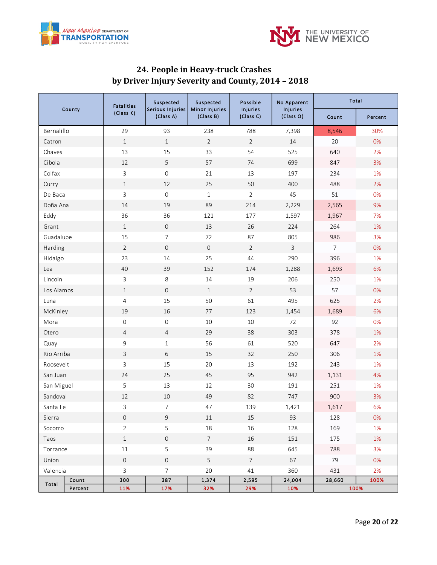



## <span id="page-19-0"></span>**24. People in Heavy-truck Crashes by Driver Injury Severity and County, 2014 – 2018**

| County     |         | <b>Fatalities</b>   | Suspected                     | Suspected                          | Possible              | No Apparent           | Total          |         |  |
|------------|---------|---------------------|-------------------------------|------------------------------------|-----------------------|-----------------------|----------------|---------|--|
|            |         | (Class K)           | Serious Injuries<br>(Class A) | <b>Minor Injuries</b><br>(Class B) | Injuries<br>(Class C) | Injuries<br>(Class O) | Count          | Percent |  |
| Bernalillo |         | 29                  | 93                            | 238                                | 788                   | 7,398                 | 8,546          | 30%     |  |
| Catron     |         | $\mathbf{1}$        | $\mathbf{1}$                  | $\overline{2}$                     | $\overline{2}$        | $14\,$                | 20             | 0%      |  |
| Chaves     |         | 13                  | 15                            | 33                                 | 54                    | 525                   | 640            | 2%      |  |
| Cibola     |         | 12                  | 5                             | 57                                 | 74                    | 699                   | 847            | 3%      |  |
| Colfax     |         | $\mathbf{3}$        | $\mathsf{O}\xspace$           | 21                                 | 13                    | 197                   | 234            | 1%      |  |
| Curry      |         | $\mathbf{1}$        | 12                            | 25                                 | 50                    | 400                   | 488            | 2%      |  |
| De Baca    |         | $\mathbf{3}$        | $\mathsf{O}\xspace$           | $\mathbf{1}$                       | $\overline{2}$        | 45                    | 51             | 0%      |  |
| Doña Ana   |         | 14                  | 19                            | 89                                 | 214                   | 2,229                 | 2,565          | 9%      |  |
| Eddy       |         | 36                  | 36                            | 121                                | 177                   | 1,597                 | 1,967          | 7%      |  |
| Grant      |         | $\mathbf{1}$        | $\mathsf{O}\xspace$           | 13                                 | 26                    | 224                   | 264            | 1%      |  |
| Guadalupe  |         | 15                  | $\overline{7}$                | 72                                 | 87                    | 805                   | 986            | 3%      |  |
| Harding    |         | $\overline{2}$      | $\mathsf{O}\xspace$           | $\mathbf{0}$                       | $\overline{2}$        | $\mathbf{3}$          | $\overline{7}$ | 0%      |  |
| Hidalgo    |         | 23                  | 14                            | 25                                 | 44                    | 290                   | 396            | 1%      |  |
| Lea        |         | 40                  | 39                            | 152                                | 174                   | 1,288                 | 1,693          | 6%      |  |
| Lincoln    |         | $\mathbf{3}$        | 8                             | 14                                 | 19                    | 206                   | 250            | 1%      |  |
| Los Alamos |         | $\mathbf{1}$        | $\mathsf{O}\xspace$           | $\mathbf{1}$                       | $\overline{2}$        | 53                    | 57             | 0%      |  |
| Luna       |         | $\overline{4}$      | 15                            | 50                                 | 61                    | 495                   | 625            | 2%      |  |
| McKinley   |         | 19                  | 16                            | 77                                 | 123                   | 1,454                 | 1,689          | 6%      |  |
| Mora       |         | $\mathsf{O}\xspace$ | $\mathsf{O}\xspace$           | 10                                 | 10                    | 72                    | 92             | 0%      |  |
| Otero      |         | $\overline{4}$      | $\overline{4}$                | 29                                 | 38                    | 303                   | 378            | 1%      |  |
| Quay       |         | $\overline{9}$      | $1\,$                         | 56                                 | 61                    | 520                   | 647            | 2%      |  |
| Rio Arriba |         | $\mathbf{3}$        | 6                             | 15                                 | 32                    | 250                   | 306            | 1%      |  |
| Roosevelt  |         | $\mathbf{3}$        | 15                            | 20                                 | 13                    | 192                   | 243            | 1%      |  |
| San Juan   |         | 24                  | 25                            | 45                                 | 95                    | 942                   | 1,131          | 4%      |  |
| San Miguel |         | 5                   | 13                            | 12                                 | 30                    | 191                   | 251            | 1%      |  |
| Sandoval   |         | $12\,$              | $10\,$                        | 49                                 | 82                    | 747                   | 900            | 3%      |  |
| Santa Fe   |         | 3                   | $\overline{7}$                | 47                                 | 139                   | 1,421                 |                | 6%      |  |
| Sierra     |         | $\,0\,$             | $\mathsf 9$                   | $11\,$                             | $15\,$                | 93                    |                | 0%      |  |
| Socorro    |         | $\overline{2}$      | 5                             | $18\,$                             | 16                    | 128                   | 169            | 1%      |  |
| Taos       |         | $1\,$               | $\mathsf{O}\xspace$           | $\overline{7}$                     | 16                    | 151                   | 175            | 1%      |  |
| Torrance   |         | $11\,$              | 5                             | 39                                 | 88                    | 645                   | 788            | 3%      |  |
| Union      |         | $\mathbf 0$         | $\mathsf{O}\xspace$           | $\mathsf S$                        | $\overline{7}$        | 67                    | 79             | 0%      |  |
| Valencia   |         | $\overline{3}$      | $\overline{7}$                | 20                                 | 41                    | 360                   | 431            | 2%      |  |
| Total      | Count   | 300                 | 387                           | 1,374                              | 2,595                 | 24,004                | 28,660         | 100%    |  |
|            | Percent | 11%                 | 17%                           | 32%                                | 29%                   | 10%                   |                | 100%    |  |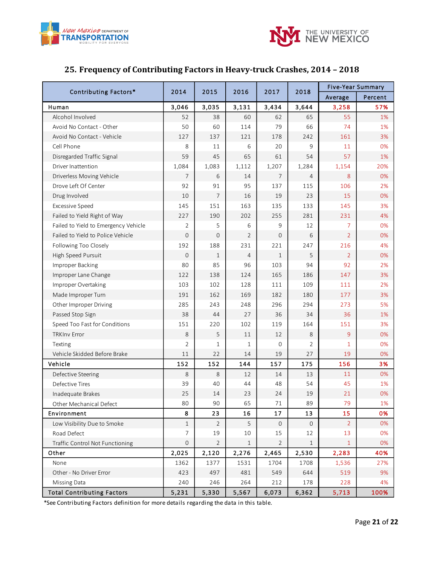



## <span id="page-20-0"></span>**25. Frequency of Contributing Factors in Heavy-truck Crashes, 2014 – 2018**

| Contributing Factors*                | 2014           | 2015           | 2016           | 2017           | 2018           | <b>Five-Year Summary</b> |         |
|--------------------------------------|----------------|----------------|----------------|----------------|----------------|--------------------------|---------|
|                                      |                |                |                |                |                | Average                  | Percent |
| Human                                | 3,046          | 3,035          | 3,131          | 3,434          | 3,644          | 3,258                    | 57%     |
| Alcohol Involved                     | 52             | 38             | 60             | 62             | 65             | 55                       | 1%      |
| Avoid No Contact - Other             | 50             | 60             | 114            | 79             | 66             | 74                       | 1%      |
| Avoid No Contact - Vehicle           | 127            | 137            | 121            | 178            | 242            | 161                      | 3%      |
| Cell Phone                           | 8              | 11             | 6              | 20             | 9              | 11                       | 0%      |
| Disregarded Traffic Signal           | 59             | 45             | 65             | 61             | 54             | 57                       | 1%      |
| Driver Inattention                   | 1,084          | 1,083          | 1,112          | 1,207          | 1,284          | 1,154                    | 20%     |
| Driverless Moving Vehicle            | 7              | 6              | 14             | 7              | $\overline{4}$ | 8                        | 0%      |
| Drove Left Of Center                 | 92             | 91             | 95             | 137            | 115            | 106                      | 2%      |
| Drug Involved                        | 10             | $\overline{7}$ | 16             | 19             | 23             | 15                       | 0%      |
| <b>Excessive Speed</b>               | 145            | 151            | 163            | 135            | 133            | 145                      | 3%      |
| Failed to Yield Right of Way         | 227            | 190            | 202            | 255            | 281            | 231                      | 4%      |
| Failed to Yield to Emergency Vehicle | 2              | 5              | 6              | 9              | 12             | 7                        | 0%      |
| Failed to Yield to Police Vehicle    | 0              | $\overline{0}$ | 2              | $\overline{0}$ | 6              | $\overline{2}$           | 0%      |
| Following Too Closely                | 192            | 188            | 231            | 221            | 247            | 216                      | 4%      |
| High Speed Pursuit                   | $\mathbf{0}$   | $\mathbf{1}$   | $\overline{4}$ | $\mathbf{1}$   | 5              | $\overline{2}$           | 0%      |
| Improper Backing                     | 80             | 85             | 96             | 103            | 94             | 92                       | 2%      |
| Improper Lane Change                 | 122            | 138            | 124            | 165            | 186            | 147                      | 3%      |
| Improper Overtaking                  | 103            | 102            | 128            | 111            | 109            | 111                      | 2%      |
| Made Improper Turn                   | 191            | 162            | 169            | 182            | 180            | 177                      | 3%      |
| Other Improper Driving               | 285            | 243            | 248            | 296            | 294            | 273                      | 5%      |
| Passed Stop Sign                     | 38             | 44             | 27             | 36             | 34             | 36                       | 1%      |
| Speed Too Fast for Conditions        | 151            | 220            | 102            | 119            | 164            | 151                      | 3%      |
| <b>TRKInv Error</b>                  | 8              | 5              | 11             | 12             | 8              | 9                        | 0%      |
| Texting                              | $\overline{2}$ | $\mathbf{1}$   | $\mathbf{1}$   | $\mathbf 0$    | 2              | $\mathbf{1}$             | 0%      |
| Vehicle Skidded Before Brake         | 11             | 22             | 14             | 19             | 27             | 19                       | 0%      |
| Vehicle                              | 152            | 152            | 144            | 157            | 175            | 156                      | 3%      |
| Defective Steering                   | 8              | 8              | 12             | 14             | 13             | 11                       | 0%      |
| Defective Tires                      | 39             | 40             | 44             | 48             | 54             | 45                       | 1%      |
| Inadequate Brakes                    | 25             | 14             | 23             | 24             | 19             | 21                       | 0%      |
| Other Mechanical Defect              | 80             | 90             | 65             | 71             | 89             | 79                       | 1%      |
| Environment                          | 8              | 23             | 16             | 17             | 13             | 15                       | 0%      |
| Low Visibility Due to Smoke          | $\mathbf{1}$   | $\overline{2}$ | 5              | $\mathbf{0}$   | $\mathbf 0$    | $\overline{2}$           | 0%      |
| Road Defect                          | 7              | 19             | 10             | 15             | 12             | 13                       | 0%      |
| Traffic Control Not Functioning      | $\mathbf 0$    | $\overline{2}$ | $\mathbf 1$    | 2              | $\mathbf{1}$   | $\mathbf{1}$             | 0%      |
| Other                                | 2,025          | 2,120          | 2,276          | 2,465          | 2,530          | 2,283                    | 40%     |
| None                                 | 1362           | 1377           | 1531           | 1704           | 1708           | 1,536                    | 27%     |
| Other - No Driver Error              | 423            | 497            | 481            | 549            | 644            | 519                      | 9%      |
| Missing Data                         | 240            | 246            | 264            | 212            | 178            | 228                      | 4%      |
| <b>Total Contributing Factors</b>    | 5,231          | 5,330          | 5,567          | 6,073          | 6,362          | 5,713                    | 100%    |

\*See Contributing Factors definition for more details regarding the data in this table.